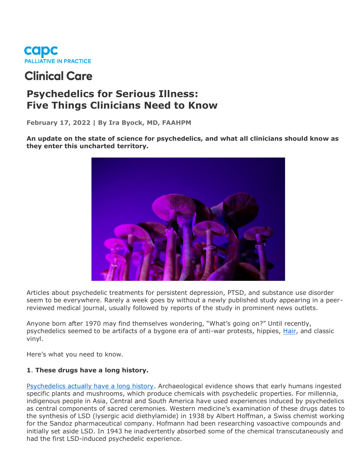

# **Clinical Care**

# **Psychedelics for Serious Illness: Five Things Clinicians Need to Know**

**February 17, 2022 | By Ira Byock, MD, FAAHPM**

**An update on the state of science for psychedelics, and what all clinicians should know as they enter this uncharted territory.** 



Articles about psychedelic treatments for persistent depression, PTSD, and substance use disorder seem to be everywhere. Rarely a week goes by without a newly published study appearing in a peerreviewed medical journal, usually followed by reports of the study in prominent news outlets.

Anyone born after 1970 may find themselves wondering, "What's going on?" Until recently, psychedelics seemed to be artifacts of a bygone era of anti-war protests, hippies, [Hair,](https://broadwaymusicalhome.com/shows/hair.htm) and classic vinyl.

Here's what you need to know.

## **1**. **These drugs have a long history.**

[Psychedelics actually have a long history.](https://psychedelicspotlight.com/history-of-magic-mushrooms-across-ancient-civilizations/) Archaeological evidence shows that early humans ingested specific plants and mushrooms, which produce chemicals with psychedelic properties. For millennia, indigenous people in Asia, Central and South America have used experiences induced by psychedelics as central components of sacred ceremonies. Western medicine's examination of these drugs dates to the synthesis of LSD (lysergic acid diethylamide) in 1938 by Albert Hoffman, a Swiss chemist working for the Sandoz pharmaceutical company. Hofmann had been researching vasoactive compounds and initially set aside LSD. In 1943 he inadvertently absorbed some of the chemical transcutaneously and had the first LSD-induced psychedelic experience.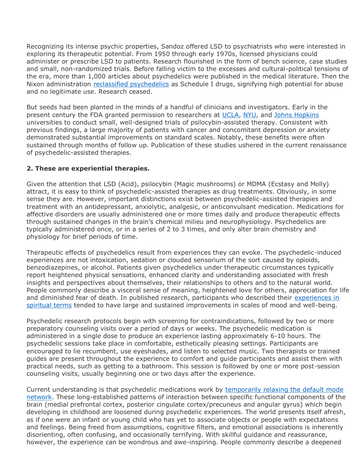Recognizing its intense psychic properties, Sandoz offered LSD to psychiatrists who were interested in exploring its therapeutic potential. From 1950 through early 1970s, licensed physicians could administer or prescribe LSD to patients. Research flourished in the form of bench science, case studies and small, non-randomized trials. Before falling victim to the excesses and cultural-political tensions of the era, more than 1,000 articles about psychedelics were published in the medical literature. Then the Nixon administration [reclassified psychedelics](https://www.ncbi.nlm.nih.gov/pmc/articles/PMC6791528/) as Schedule I drugs, signifying high potential for abuse and no legitimate use. Research ceased.

But seeds had been planted in the minds of a handful of clinicians and investigators. Early in the present century the FDA granted permission to researchers at [UCLA,](https://jamanetwork.com/journals/jamapsychiatry/fullarticle/210962) [NYU,](https://journals.sagepub.com/doi/10.1177/0269881116675512) and [Johns Hopkins](https://files.csp.org/Psilocybin/Griffiths2016CancerDistress.pdf) universities to conduct small, well-designed trials of psilocybin-assisted therapy. Consistent with previous findings, a large majority of patients with cancer and concomitant depression or anxiety demonstrated substantial improvements on standard scales. Notably, these benefits were often sustained through months of follow up. Publication of these studies ushered in the current renaissance of psychedelic-assisted therapies.

#### **2. These are experiential therapies.**

Given the attention that LSD (Acid), psilocybin (Magic mushrooms) or MDMA (Ecstasy and Molly) attract, it is easy to think of psychedelic-assisted therapies as drug treatments. Obviously, in some sense they are. However, important distinctions exist between psychedelic-assisted therapies and treatment with an antidepressant, anxiolytic, analgesic, or anticonvulsant medication. Medications for affective disorders are usually administered one or more times daily and produce therapeutic effects through sustained changes in the brain's chemical milieu and neurophysiology. Psychedelics are typically administered once, or in a series of 2 to 3 times, and only alter brain chemistry and physiology for brief periods of time.

Therapeutic effects of psychedelics result from experiences they can evoke. The psychedelic-induced experiences are not intoxication, sedation or clouded sensorium of the sort caused by opioids, benzodiazepines, or alcohol. Patients given psychedelics under therapeutic circumstances typically report heightened physical sensations, enhanced clarity and understanding associated with fresh insights and perspectives about themselves, their relationships to others and to the natural world. People commonly describe a visceral sense of meaning, heightened love for others, appreciation for life and diminished fear of death. In published research, participants who described their experiences in [spiritual terms](https://www.liebertpub.com/doi/full/10.1089/act.2020.29309.apb) tended to have large and sustained improvements in scales of mood and well-being.

Psychedelic research protocols begin with screening for contraindications, followed by two or more preparatory counseling visits over a period of days or weeks. The psychedelic medication is administered in a single dose to produce an experience lasting approximately 6-10 hours. The psychedelic sessions take place in comfortable, esthetically pleasing settings. Participants are encouraged to lie recumbent, use eyeshades, and listen to selected music. Two therapists or trained guides are present throughout the experience to comfort and guide participants and assist them with practical needs, such as getting to a bathroom. This session is followed by one or more post-session counseling visits, usually beginning one or two days after the experience.

Current understanding is that psychedelic medications work by [temporarily relaxing the default mode](https://www.frontiersin.org/articles/10.3389/fnhum.2014.00020/full#B34)  [network.](https://www.frontiersin.org/articles/10.3389/fnhum.2014.00020/full#B34) These long-established patterns of interaction between specific functional components of the brain (medial prefrontal cortex, posterior cingulate cortex/precuneus and angular gyrus) which begin developing in childhood are loosened during psychedelic experiences. The world presents itself afresh, as if one were an infant or young child who has yet to associate objects or people with expectations and feelings. Being freed from assumptions, cognitive filters, and emotional associations is inherently disorienting, often confusing, and occasionally terrifying. With skillful guidance and reassurance, however, the experience can be wondrous and awe-inspiring. People commonly describe a deepened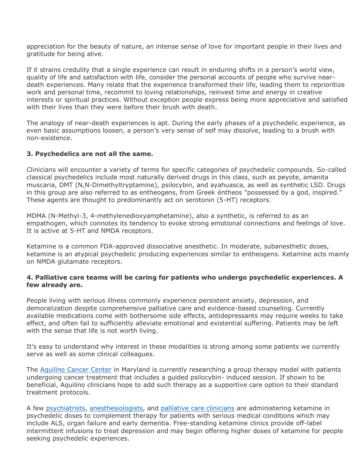appreciation for the beauty of nature, an intense sense of love for important people in their lives and gratitude for being alive.

If it strains credulity that a single experience can result in enduring shifts in a person's world view, quality of life and satisfaction with life, consider the personal accounts of people who survive neardeath experiences. Many relate that the experience transformed their life, leading them to reprioritize work and personal time, recommit to loving relationships, reinvest time and energy in creative interests or spiritual practices. Without exception people express being more appreciative and satisfied with their lives than they were before their brush with death.

The analogy of near-death experiences is apt. During the early phases of a psychedelic experience, as even basic assumptions loosen, a person's very sense of self may dissolve, leading to a brush with non-existence.

#### **3. Psychedelics are not all the same.**

Clinicians will encounter a variety of terms for specific categories of psychedelic compounds. So-called classical psychedelics include most naturally derived drugs in this class, such as peyote, amanita muscaria, DMT (N,N-Dimethyltryptamine), psilocybin, and ayahuasca, as well as synthetic LSD. Drugs in this group are also referred to as entheogens, from Greek éntheos "possessed by a god, inspired." These agents are thought to predominantly act on serotonin (5-HT) receptors.

MDMA (N-Methyl-3, 4-methylenedioxyamphetamine), also a synthetic, is referred to as an empathogen, which connotes its tendency to evoke strong emotional connections and feelings of love. It is active at 5-HT and NMDA receptors.

Ketamine is a common FDA-approved dissociative anesthetic. In moderate, subanesthetic doses, ketamine is an atypical psychedelic producing experiences similar to entheogens. Ketamine acts mainly on NMDA glutamate receptors.

#### **4. Palliative care teams will be caring for patients who undergo psychedelic experiences. A few already are.**

People living with serious illness commonly experience persistent anxiety, depression, and demoralization despite comprehensive palliative care and evidence-based counseling. Currently available medications come with bothersome side effects, antidepressants may require weeks to take effect, and often fail to sufficiently alleviate emotional and existential suffering. Patients may be left with the sense that life is not worth living.

It's easy to understand why interest in these modalities is strong among some patients we currently serve as well as some clinical colleagues.

The [Aquilino Cancer Center](https://www.aquilinocancercenter.com/) in Maryland is currently researching a group therapy model with patients undergoing cancer treatment that includes a guided psilocybin- induced session. If shown to be beneficial, Aquilino clinicians hope to add such therapy as a supportive care option to their standard treatment protocols.

A few [psychiatrists,](http://philwolfsonmd.com/ketamine-assisted-psychotherapy.html) [anesthesiologists,](https://mellodyhayes.com/) and [palliative care clinicians](https://psychedelic.support/network/sunil-kumar-aggarwal-md-phd-faapmr/) are administering ketamine in psychedelic doses to complement therapy for patients with serious medical conditions which may include ALS, organ failure and early dementia. Free-standing ketamine clinics provide off-label intermittent infusions to treat depression and may begin offering higher doses of ketamine for people seeking psychedelic experiences.